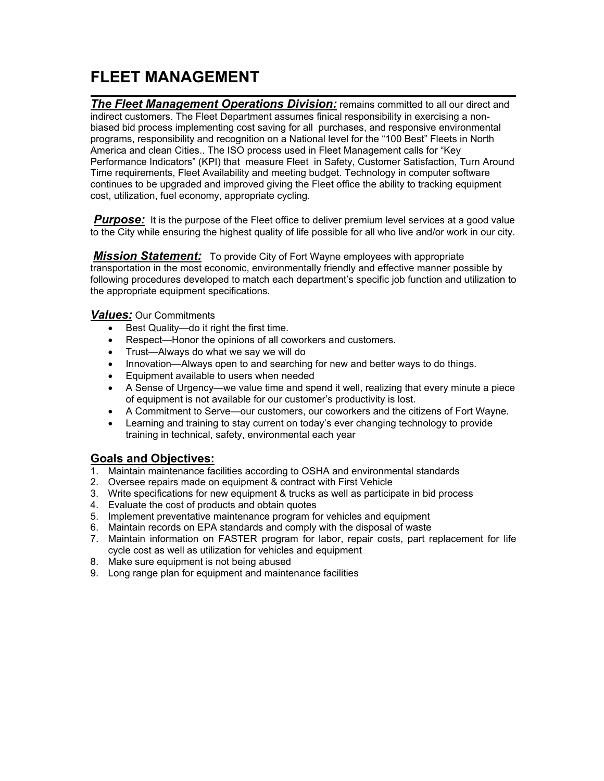## FLEET MANAGEMENT

 $\overline{a}$ The Fleet Management Operations Division: remains committed to all our direct and indirect customers. The Fleet Department assumes finical responsibility in exercising a nonbiased bid process implementing cost saving for all purchases, and responsive environmental programs, responsibility and recognition on a National level for the "100 Best" Fleets in North America and clean Cities.. The ISO process used in Fleet Management calls for "Key Performance Indicators" (KPI) that measure Fleet in Safety, Customer Satisfaction, Turn Around Time requirements, Fleet Availability and meeting budget. Technology in computer software continues to be upgraded and improved giving the Fleet office the ability to tracking equipment cost, utilization, fuel economy, appropriate cycling.

**Purpose:** It is the purpose of the Fleet office to deliver premium level services at a good value to the City while ensuring the highest quality of life possible for all who live and/or work in our city.

**Mission Statement:** To provide City of Fort Wayne employees with appropriate transportation in the most economic, environmentally friendly and effective manner possible by following procedures developed to match each department's specific job function and utilization to the appropriate equipment specifications.

Values: Our Commitments

- Best Quality—do it right the first time.
- Respect—Honor the opinions of all coworkers and customers.
- Trust—Always do what we say we will do
- Innovation—Always open to and searching for new and better ways to do things.
- Equipment available to users when needed
- A Sense of Urgency—we value time and spend it well, realizing that every minute a piece of equipment is not available for our customer's productivity is lost.
- A Commitment to Serve—our customers, our coworkers and the citizens of Fort Wayne.
- Learning and training to stay current on today's ever changing technology to provide training in technical, safety, environmental each year

### Goals and Objectives:

- 1. Maintain maintenance facilities according to OSHA and environmental standards
- 2. Oversee repairs made on equipment & contract with First Vehicle
- 3. Write specifications for new equipment & trucks as well as participate in bid process
- 4. Evaluate the cost of products and obtain quotes
- 5. Implement preventative maintenance program for vehicles and equipment
- 6. Maintain records on EPA standards and comply with the disposal of waste
- 7. Maintain information on FASTER program for labor, repair costs, part replacement for life cycle cost as well as utilization for vehicles and equipment
- 8. Make sure equipment is not being abused
- 9. Long range plan for equipment and maintenance facilities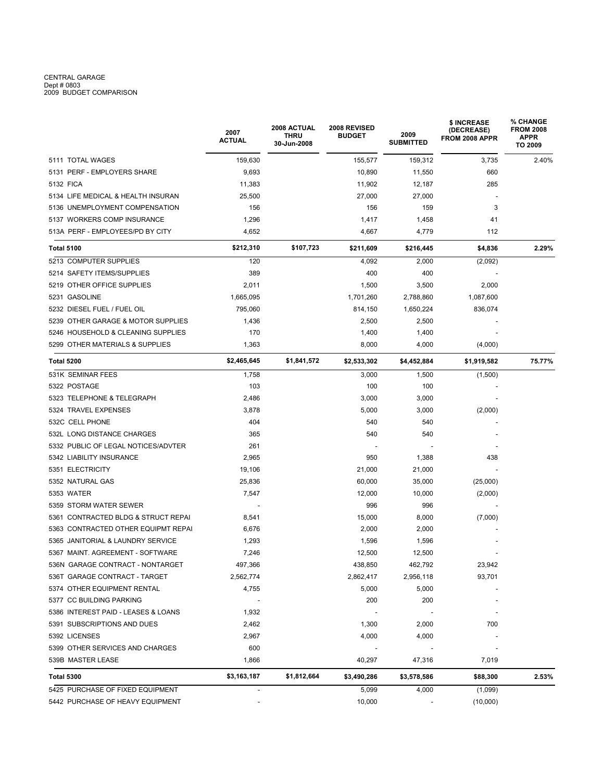# CENTRAL GARAGE<br>Dept # 0803<br>2009 BUDGET COMPARISON

|                                     | 2007<br><b>ACTUAL</b>    | 2008 ACTUAL<br>THRU<br>30-Jun-2008 | 2008 REVISED<br><b>BUDGET</b> | 2009<br><b>SUBMITTED</b> | \$ INCREASE<br>(DECREASE)<br>FROM 2008 APPR | <b>% CHANGE</b><br><b>FROM 2008</b><br><b>APPR</b><br>TO 2009<br>2.40% |  |
|-------------------------------------|--------------------------|------------------------------------|-------------------------------|--------------------------|---------------------------------------------|------------------------------------------------------------------------|--|
| 5111 TOTAL WAGES                    | 159,630                  |                                    | 155,577                       | 159,312                  | 3,735                                       |                                                                        |  |
| 5131 PERF - EMPLOYERS SHARE         | 9,693                    |                                    | 10,890                        | 11,550                   | 660                                         |                                                                        |  |
| 5132 FICA                           | 11,383                   |                                    | 11,902                        | 12,187                   | 285                                         |                                                                        |  |
| 5134 LIFE MEDICAL & HEALTH INSURAN  | 25,500                   |                                    | 27,000                        | 27,000                   |                                             |                                                                        |  |
| 5136 UNEMPLOYMENT COMPENSATION      | 156                      |                                    | 156                           | 159                      | 3                                           |                                                                        |  |
| 5137 WORKERS COMP INSURANCE         | 1,296                    |                                    | 1,417                         | 1,458                    | 41                                          |                                                                        |  |
| 513A PERF - EMPLOYEES/PD BY CITY    | 4,652                    |                                    | 4,667                         | 4,779                    | 112                                         |                                                                        |  |
| <b>Total 5100</b>                   | \$212,310                | \$107,723                          | \$211,609                     | \$216,445                | \$4,836                                     | 2.29%                                                                  |  |
| 5213 COMPUTER SUPPLIES              | 120                      |                                    | 4,092                         | 2,000                    | (2,092)                                     |                                                                        |  |
| 5214 SAFETY ITEMS/SUPPLIES          | 389                      |                                    | 400                           | 400                      |                                             |                                                                        |  |
| 5219 OTHER OFFICE SUPPLIES          | 2,011                    |                                    | 1,500                         | 3,500                    | 2,000                                       |                                                                        |  |
| 5231 GASOLINE                       | 1,665,095                |                                    | 1,701,260                     | 2,788,860                | 1,087,600                                   |                                                                        |  |
| 5232 DIESEL FUEL / FUEL OIL         | 795,060                  |                                    | 814,150                       | 1,650,224                | 836,074                                     |                                                                        |  |
| 5239 OTHER GARAGE & MOTOR SUPPLIES  | 1,436                    |                                    | 2,500                         | 2,500                    |                                             |                                                                        |  |
| 5246 HOUSEHOLD & CLEANING SUPPLIES  | 170                      |                                    | 1,400                         | 1,400                    |                                             |                                                                        |  |
| 5299 OTHER MATERIALS & SUPPLIES     | 1,363                    |                                    | 8,000                         | 4,000                    | (4,000)                                     |                                                                        |  |
| Total 5200                          | \$2,465,645              | \$1,841,572                        | \$2,533,302                   | \$4,452,884              | \$1,919,582                                 | 75.77%                                                                 |  |
| 531K SEMINAR FEES                   | 1,758                    |                                    | 3,000                         | 1,500                    | (1,500)                                     |                                                                        |  |
| 5322 POSTAGE                        | 103                      |                                    | 100                           | 100                      |                                             |                                                                        |  |
| 5323 TELEPHONE & TELEGRAPH          | 2,486                    |                                    | 3,000                         | 3,000                    |                                             |                                                                        |  |
| 5324 TRAVEL EXPENSES                | 3,878                    |                                    | 5,000                         | 3,000                    | (2,000)                                     |                                                                        |  |
| 532C CELL PHONE                     | 404                      |                                    | 540                           | 540                      |                                             |                                                                        |  |
| 532L LONG DISTANCE CHARGES          | 365                      |                                    | 540                           | 540                      |                                             |                                                                        |  |
| 5332 PUBLIC OF LEGAL NOTICES/ADVTER | 261                      |                                    |                               |                          |                                             |                                                                        |  |
| 5342 LIABILITY INSURANCE            | 2,965                    |                                    | 950                           | 1,388                    | 438                                         |                                                                        |  |
| 5351 ELECTRICITY                    | 19,106                   |                                    | 21,000                        | 21,000                   |                                             |                                                                        |  |
| 5352 NATURAL GAS                    | 25,836                   |                                    | 60,000                        | 35,000                   | (25,000)                                    |                                                                        |  |
| 5353 WATER                          | 7,547                    |                                    | 12,000                        | 10,000                   | (2,000)                                     |                                                                        |  |
| 5359 STORM WATER SEWER              |                          |                                    | 996                           | 996                      |                                             |                                                                        |  |
| 5361 CONTRACTED BLDG & STRUCT REPAI | 8,541                    |                                    | 15,000                        | 8,000                    | (7,000)                                     |                                                                        |  |
| 5363 CONTRACTED OTHER EQUIPMT REPAI | 6,676                    |                                    | 2,000                         | 2,000                    |                                             |                                                                        |  |
| 5365 JANITORIAL & LAUNDRY SERVICE   | 1,293                    |                                    | 1,596                         | 1,596                    |                                             |                                                                        |  |
| 5367 MAINT. AGREEMENT - SOFTWARE    | 7,246                    |                                    | 12,500                        | 12,500                   |                                             |                                                                        |  |
| 536N GARAGE CONTRACT - NONTARGET    | 497,366                  |                                    | 438,850                       | 462,792                  | 23,942                                      |                                                                        |  |
| 536T GARAGE CONTRACT - TARGET       | 2,562,774                |                                    | 2,862,417                     | 2,956,118                | 93,701                                      |                                                                        |  |
| 5374 OTHER EQUIPMENT RENTAL         | 4,755                    |                                    | 5,000                         | 5,000                    |                                             |                                                                        |  |
| 5377 CC BUILDING PARKING            |                          |                                    | 200                           | 200                      |                                             |                                                                        |  |
| 5386 INTEREST PAID - LEASES & LOANS | 1,932                    |                                    |                               |                          |                                             |                                                                        |  |
| 5391 SUBSCRIPTIONS AND DUES         | 2,462                    |                                    | 1,300                         | 2,000                    | 700                                         |                                                                        |  |
| 5392 LICENSES                       | 2,967                    |                                    | 4,000                         | 4,000                    |                                             |                                                                        |  |
| 5399 OTHER SERVICES AND CHARGES     | 600                      |                                    |                               |                          |                                             |                                                                        |  |
| 539B MASTER LEASE                   | 1,866                    |                                    | 40,297                        | 47,316                   | 7,019                                       |                                                                        |  |
| Total 5300                          | \$3,163,187              | \$1,812,664                        | \$3,490,286                   | \$3,578,586              | \$88,300                                    | 2.53%                                                                  |  |
| 5425 PURCHASE OF FIXED EQUIPMENT    |                          |                                    | 5,099                         | 4,000                    | (1,099)                                     |                                                                        |  |
| 5442 PURCHASE OF HEAVY EQUIPMENT    | $\overline{\phantom{a}}$ |                                    | 10,000                        |                          | (10,000)                                    |                                                                        |  |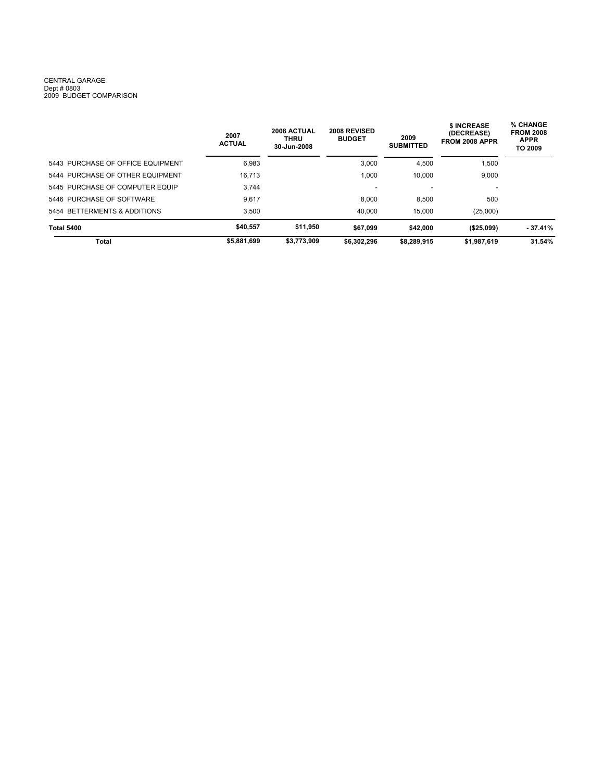#### CENTRAL GARAGE Dept # 0803 2009 BUDGET COMPARISON

|                                   | 2007<br><b>ACTUAL</b> | 2008 ACTUAL<br><b>THRU</b><br>30-Jun-2008 | 2008 REVISED<br><b>BUDGET</b> | 2009<br><b>SUBMITTED</b> | \$ INCREASE<br>(DECREASE)<br>FROM 2008 APPR | % CHANGE<br><b>FROM 2008</b><br><b>APPR</b><br>TO 2009 |  |
|-----------------------------------|-----------------------|-------------------------------------------|-------------------------------|--------------------------|---------------------------------------------|--------------------------------------------------------|--|
| 5443 PURCHASE OF OFFICE EQUIPMENT | 6,983                 |                                           | 3,000                         | 4,500                    | 1,500                                       |                                                        |  |
| 5444 PURCHASE OF OTHER EQUIPMENT  | 16.713                |                                           | 1.000                         | 10.000                   | 9,000                                       |                                                        |  |
| 5445 PURCHASE OF COMPUTER EQUIP   | 3.744                 |                                           | $\overline{\phantom{0}}$      |                          | $\overline{\phantom{a}}$                    |                                                        |  |
| 5446 PURCHASE OF SOFTWARE         | 9.617                 |                                           | 8.000                         | 8.500                    | 500                                         |                                                        |  |
| 5454 BETTERMENTS & ADDITIONS      | 3.500                 |                                           | 40,000                        | 15.000                   | (25,000)                                    |                                                        |  |
| <b>Total 5400</b>                 | \$40.557              | \$11.950                                  | \$67.099                      | \$42,000                 | ( \$25,099)                                 | - 37.41%                                               |  |
| Total                             | \$5,881,699           | \$3,773,909                               | \$6,302,296                   | \$8,289,915              | \$1,987,619                                 | 31.54%                                                 |  |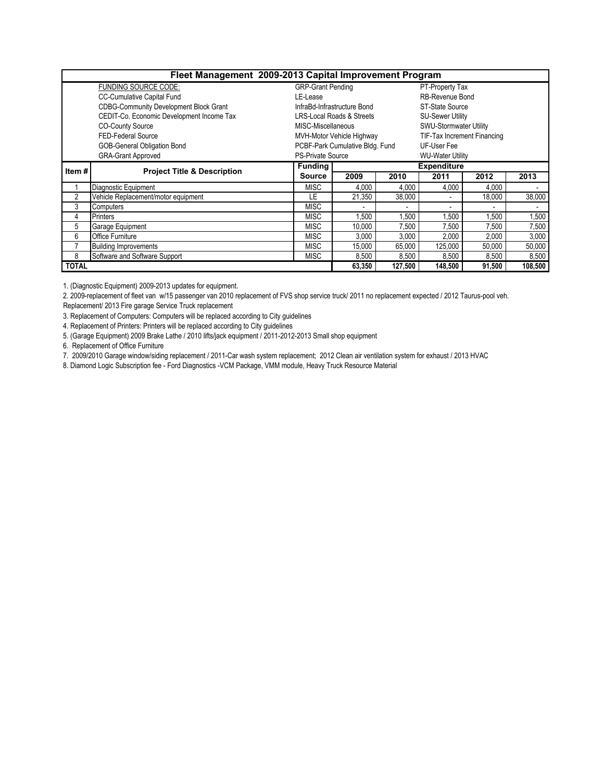|                             | Fleet Management 2009-2013 Capital Improvement Program |                             |                                      |                 |                                    |        |         |  |  |
|-----------------------------|--------------------------------------------------------|-----------------------------|--------------------------------------|-----------------|------------------------------------|--------|---------|--|--|
|                             | <b>FUNDING SOURCE CODE:</b>                            | <b>GRP-Grant Pending</b>    |                                      | PT-Property Tax |                                    |        |         |  |  |
|                             | <b>CC-Cumulative Capital Fund</b>                      | LE-Lease                    |                                      |                 | RB-Revenue Bond                    |        |         |  |  |
|                             | <b>CDBG-Community Development Block Grant</b>          | InfraBd-Infrastructure Bond |                                      | ST-State Source |                                    |        |         |  |  |
|                             | CEDIT-Co. Economic Development Income Tax              |                             | <b>LRS-Local Roads &amp; Streets</b> |                 | <b>SU-Sewer Utility</b>            |        |         |  |  |
|                             | <b>CO-County Source</b>                                | MISC-Miscellaneous          |                                      |                 | SWU-Stormwater Utility             |        |         |  |  |
| FED-Federal Source          |                                                        |                             | MVH-Motor Vehicle Highway            |                 | <b>TIF-Tax Increment Financing</b> |        |         |  |  |
| GOB-General Obligation Bond |                                                        |                             | PCBF-Park Cumulative Bldg. Fund      |                 | UF-User Fee                        |        |         |  |  |
| <b>GRA-Grant Approved</b>   |                                                        | <b>PS-Private Source</b>    |                                      |                 | <b>WU-Water Utility</b>            |        |         |  |  |
| Item #                      | <b>Project Title &amp; Description</b>                 | <b>Funding</b>              |                                      |                 | <b>Expenditure</b>                 |        |         |  |  |
|                             |                                                        | <b>Source</b>               | 2009                                 | 2010            | 2011                               | 2012   | 2013    |  |  |
|                             | Diagnostic Equipment                                   | <b>MISC</b>                 | 4,000                                | 4,000           | 4,000                              | 4,000  |         |  |  |
| 2                           | Vehicle Replacement/motor equipment                    | LE                          | 21.350                               | 38.000          |                                    | 18,000 | 38,000  |  |  |
| 3                           | Computers                                              | <b>MISC</b>                 |                                      |                 |                                    |        |         |  |  |
| 4                           | <b>Printers</b>                                        | <b>MISC</b>                 | 1,500                                | 1,500           | 1,500                              | ,500   | 1,500   |  |  |
| 5                           | Garage Equipment                                       | <b>MISC</b>                 | 10,000                               | 7,500           | 7,500                              | 7,500  | 7,500   |  |  |
| 6                           | Office Furniture                                       | MISC                        | 3,000                                | 3,000           | 2,000                              | 2,000  | 3,000   |  |  |
|                             | <b>Building Improvements</b>                           | <b>MISC</b>                 | 15,000                               | 65,000          | 125,000                            | 50,000 | 50,000  |  |  |
| 8                           | Software and Software Support                          | <b>MISC</b>                 | 8,500                                | 8,500           | 8,500                              | 8,500  | 8,500   |  |  |
| <b>TOTAL</b>                |                                                        |                             | 63.350                               | 127,500         | 148.500                            | 91,500 | 108,500 |  |  |

1. (Diagnostic Equipment) 2009-2013 updates for equipment.

2. 2009-replacement of fleet van w/15 passenger van 2010 replacement of FVS shop service truck/ 2011 no replacement expected / 2012 Taurus-pool veh.

Replacement/ 2013 Fire garage Service Truck replacement

3. Replacement of Computers: Computers will be replaced according to City guidelines

4. Replacement of Printers: Printers will be replaced according to City guidelines

5. (Garage Equipment) 2009 Brake Lathe / 2010 lifts/jack equipment / 2011-2012-2013 Small shop equipment

6. Replacement of Office Furniture

7. 2009/2010 Garage window/siding replacement / 2011-Car wash system replacement; 2012 Clean air ventilation system for exhaust / 2013 HVAC

8. Diamond Logic Subscription fee - Ford Diagnostics -VCM Package, VMM module, Heavy Truck Resource Material